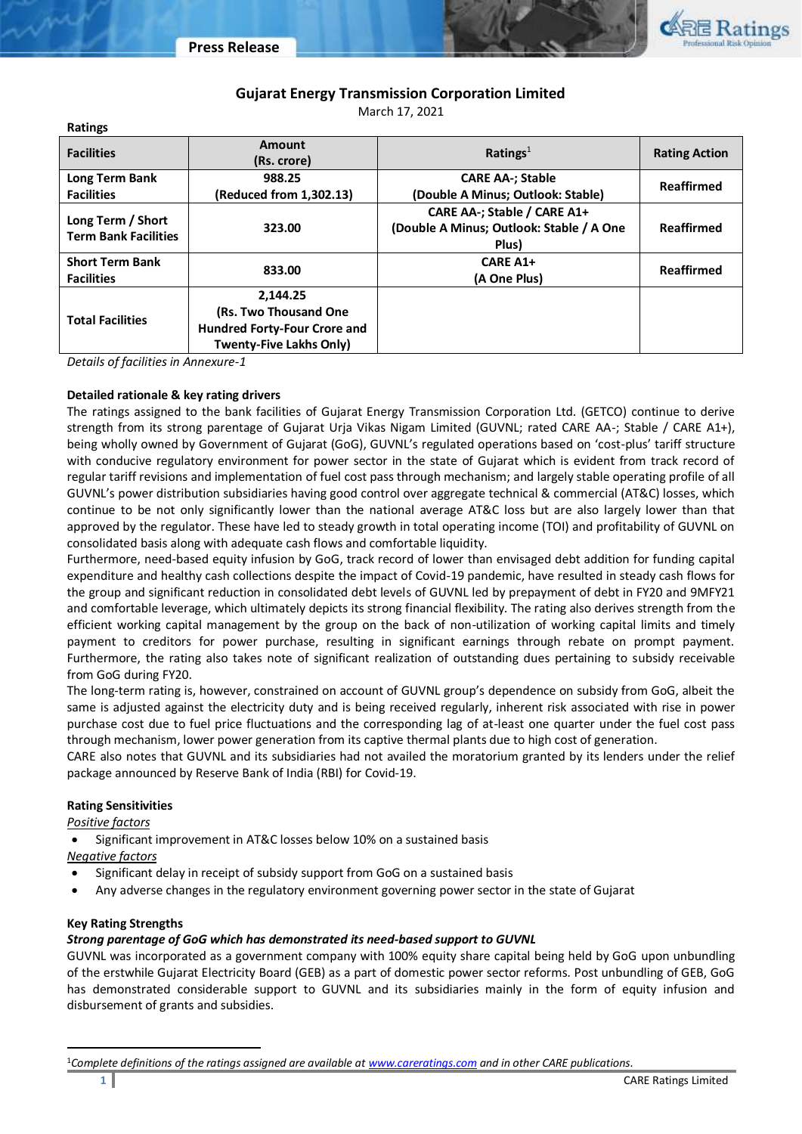

# **Gujarat Energy Transmission Corporation Limited**

March 17, 2021

| Ratings                                          |                                     |                                                                                  |                      |  |
|--------------------------------------------------|-------------------------------------|----------------------------------------------------------------------------------|----------------------|--|
| <b>Facilities</b>                                | Amount<br>(Rs. crore)               | Ratings <sup>1</sup>                                                             | <b>Rating Action</b> |  |
| Long Term Bank                                   | 988.25                              | <b>CARE AA-; Stable</b>                                                          |                      |  |
| <b>Facilities</b>                                | (Reduced from 1,302.13)             | (Double A Minus; Outlook: Stable)                                                | Reaffirmed           |  |
| Long Term / Short<br><b>Term Bank Facilities</b> | 323.00                              | CARE AA-; Stable / CARE A1+<br>(Double A Minus; Outlook: Stable / A One<br>Plus) | Reaffirmed           |  |
| <b>Short Term Bank</b><br><b>Facilities</b>      | 833.00                              | <b>CARE A1+</b><br>(A One Plus)                                                  | <b>Reaffirmed</b>    |  |
|                                                  | 2,144.25                            |                                                                                  |                      |  |
| <b>Total Facilities</b>                          | (Rs. Two Thousand One)              |                                                                                  |                      |  |
|                                                  | <b>Hundred Forty-Four Crore and</b> |                                                                                  |                      |  |
|                                                  | <b>Twenty-Five Lakhs Only)</b>      |                                                                                  |                      |  |

*Details of facilities in Annexure-1*

### **Detailed rationale & key rating drivers**

The ratings assigned to the bank facilities of Gujarat Energy Transmission Corporation Ltd. (GETCO) continue to derive strength from its strong parentage of Gujarat Urja Vikas Nigam Limited (GUVNL; rated CARE AA-; Stable / CARE A1+), being wholly owned by Government of Gujarat (GoG), GUVNL's regulated operations based on 'cost-plus' tariff structure with conducive regulatory environment for power sector in the state of Gujarat which is evident from track record of regular tariff revisions and implementation of fuel cost pass through mechanism; and largely stable operating profile of all GUVNL's power distribution subsidiaries having good control over aggregate technical & commercial (AT&C) losses, which continue to be not only significantly lower than the national average AT&C loss but are also largely lower than that approved by the regulator. These have led to steady growth in total operating income (TOI) and profitability of GUVNL on consolidated basis along with adequate cash flows and comfortable liquidity.

Furthermore, need-based equity infusion by GoG, track record of lower than envisaged debt addition for funding capital expenditure and healthy cash collections despite the impact of Covid-19 pandemic, have resulted in steady cash flows for the group and significant reduction in consolidated debt levels of GUVNL led by prepayment of debt in FY20 and 9MFY21 and comfortable leverage, which ultimately depicts its strong financial flexibility. The rating also derives strength from the efficient working capital management by the group on the back of non-utilization of working capital limits and timely payment to creditors for power purchase, resulting in significant earnings through rebate on prompt payment. Furthermore, the rating also takes note of significant realization of outstanding dues pertaining to subsidy receivable from GoG during FY20.

The long-term rating is, however, constrained on account of GUVNL group's dependence on subsidy from GoG, albeit the same is adjusted against the electricity duty and is being received regularly, inherent risk associated with rise in power purchase cost due to fuel price fluctuations and the corresponding lag of at-least one quarter under the fuel cost pass through mechanism, lower power generation from its captive thermal plants due to high cost of generation.

CARE also notes that GUVNL and its subsidiaries had not availed the moratorium granted by its lenders under the relief package announced by Reserve Bank of India (RBI) for Covid-19.

### **Rating Sensitivities**

### *Positive factors*

• Significant improvement in AT&C losses below 10% on a sustained basis

### *Negative factors*

- Significant delay in receipt of subsidy support from GoG on a sustained basis
- Any adverse changes in the regulatory environment governing power sector in the state of Gujarat

### **Key Rating Strengths**

### *Strong parentage of GoG which has demonstrated its need-based support to GUVNL*

GUVNL was incorporated as a government company with 100% equity share capital being held by GoG upon unbundling of the erstwhile Gujarat Electricity Board (GEB) as a part of domestic power sector reforms. Post unbundling of GEB, GoG has demonstrated considerable support to GUVNL and its subsidiaries mainly in the form of equity infusion and disbursement of grants and subsidies.

<sup>1</sup>*Complete definitions of the ratings assigned are available a[t www.careratings.com](http://www.careratings.com/) and in other CARE publications.*

 $\overline{a}$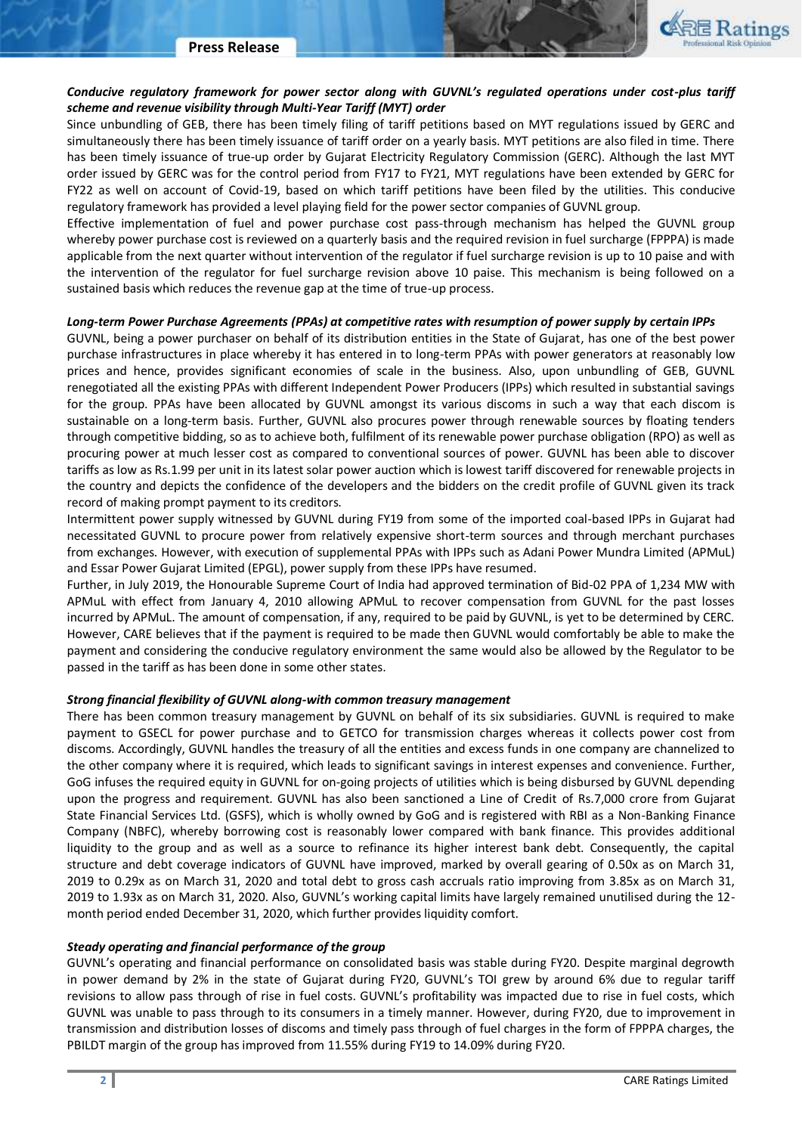

# *Conducive regulatory framework for power sector along with GUVNL's regulated operations under cost-plus tariff scheme and revenue visibility through Multi-Year Tariff (MYT) order*

Since unbundling of GEB, there has been timely filing of tariff petitions based on MYT regulations issued by GERC and simultaneously there has been timely issuance of tariff order on a yearly basis. MYT petitions are also filed in time. There has been timely issuance of true-up order by Gujarat Electricity Regulatory Commission (GERC). Although the last MYT order issued by GERC was for the control period from FY17 to FY21, MYT regulations have been extended by GERC for FY22 as well on account of Covid-19, based on which tariff petitions have been filed by the utilities. This conducive regulatory framework has provided a level playing field for the power sector companies of GUVNL group.

Effective implementation of fuel and power purchase cost pass-through mechanism has helped the GUVNL group whereby power purchase cost is reviewed on a quarterly basis and the required revision in fuel surcharge (FPPPA) is made applicable from the next quarter without intervention of the regulator if fuel surcharge revision is up to 10 paise and with the intervention of the regulator for fuel surcharge revision above 10 paise. This mechanism is being followed on a sustained basis which reduces the revenue gap at the time of true-up process.

#### *Long-term Power Purchase Agreements (PPAs) at competitive rates with resumption of power supply by certain IPPs*

GUVNL, being a power purchaser on behalf of its distribution entities in the State of Gujarat, has one of the best power purchase infrastructures in place whereby it has entered in to long-term PPAs with power generators at reasonably low prices and hence, provides significant economies of scale in the business. Also, upon unbundling of GEB, GUVNL renegotiated all the existing PPAs with different Independent Power Producers (IPPs) which resulted in substantial savings for the group. PPAs have been allocated by GUVNL amongst its various discoms in such a way that each discom is sustainable on a long-term basis. Further, GUVNL also procures power through renewable sources by floating tenders through competitive bidding, so as to achieve both, fulfilment of its renewable power purchase obligation (RPO) as well as procuring power at much lesser cost as compared to conventional sources of power. GUVNL has been able to discover tariffs as low as Rs.1.99 per unit in its latest solar power auction which is lowest tariff discovered for renewable projects in the country and depicts the confidence of the developers and the bidders on the credit profile of GUVNL given its track record of making prompt payment to its creditors.

Intermittent power supply witnessed by GUVNL during FY19 from some of the imported coal-based IPPs in Gujarat had necessitated GUVNL to procure power from relatively expensive short-term sources and through merchant purchases from exchanges. However, with execution of supplemental PPAs with IPPs such as Adani Power Mundra Limited (APMuL) and Essar Power Gujarat Limited (EPGL), power supply from these IPPs have resumed.

Further, in July 2019, the Honourable Supreme Court of India had approved termination of Bid-02 PPA of 1,234 MW with APMuL with effect from January 4, 2010 allowing APMuL to recover compensation from GUVNL for the past losses incurred by APMuL. The amount of compensation, if any, required to be paid by GUVNL, is yet to be determined by CERC. However, CARE believes that if the payment is required to be made then GUVNL would comfortably be able to make the payment and considering the conducive regulatory environment the same would also be allowed by the Regulator to be passed in the tariff as has been done in some other states.

### *Strong financial flexibility of GUVNL along-with common treasury management*

There has been common treasury management by GUVNL on behalf of its six subsidiaries. GUVNL is required to make payment to GSECL for power purchase and to GETCO for transmission charges whereas it collects power cost from discoms. Accordingly, GUVNL handles the treasury of all the entities and excess funds in one company are channelized to the other company where it is required, which leads to significant savings in interest expenses and convenience. Further, GoG infuses the required equity in GUVNL for on-going projects of utilities which is being disbursed by GUVNL depending upon the progress and requirement. GUVNL has also been sanctioned a Line of Credit of Rs.7,000 crore from Gujarat State Financial Services Ltd. (GSFS), which is wholly owned by GoG and is registered with RBI as a Non-Banking Finance Company (NBFC), whereby borrowing cost is reasonably lower compared with bank finance. This provides additional liquidity to the group and as well as a source to refinance its higher interest bank debt. Consequently, the capital structure and debt coverage indicators of GUVNL have improved, marked by overall gearing of 0.50x as on March 31, 2019 to 0.29x as on March 31, 2020 and total debt to gross cash accruals ratio improving from 3.85x as on March 31, 2019 to 1.93x as on March 31, 2020. Also, GUVNL's working capital limits have largely remained unutilised during the 12 month period ended December 31, 2020, which further provides liquidity comfort.

#### *Steady operating and financial performance of the group*

GUVNL's operating and financial performance on consolidated basis was stable during FY20. Despite marginal degrowth in power demand by 2% in the state of Gujarat during FY20, GUVNL's TOI grew by around 6% due to regular tariff revisions to allow pass through of rise in fuel costs. GUVNL's profitability was impacted due to rise in fuel costs, which GUVNL was unable to pass through to its consumers in a timely manner. However, during FY20, due to improvement in transmission and distribution losses of discoms and timely pass through of fuel charges in the form of FPPPA charges, the PBILDT margin of the group has improved from 11.55% during FY19 to 14.09% during FY20.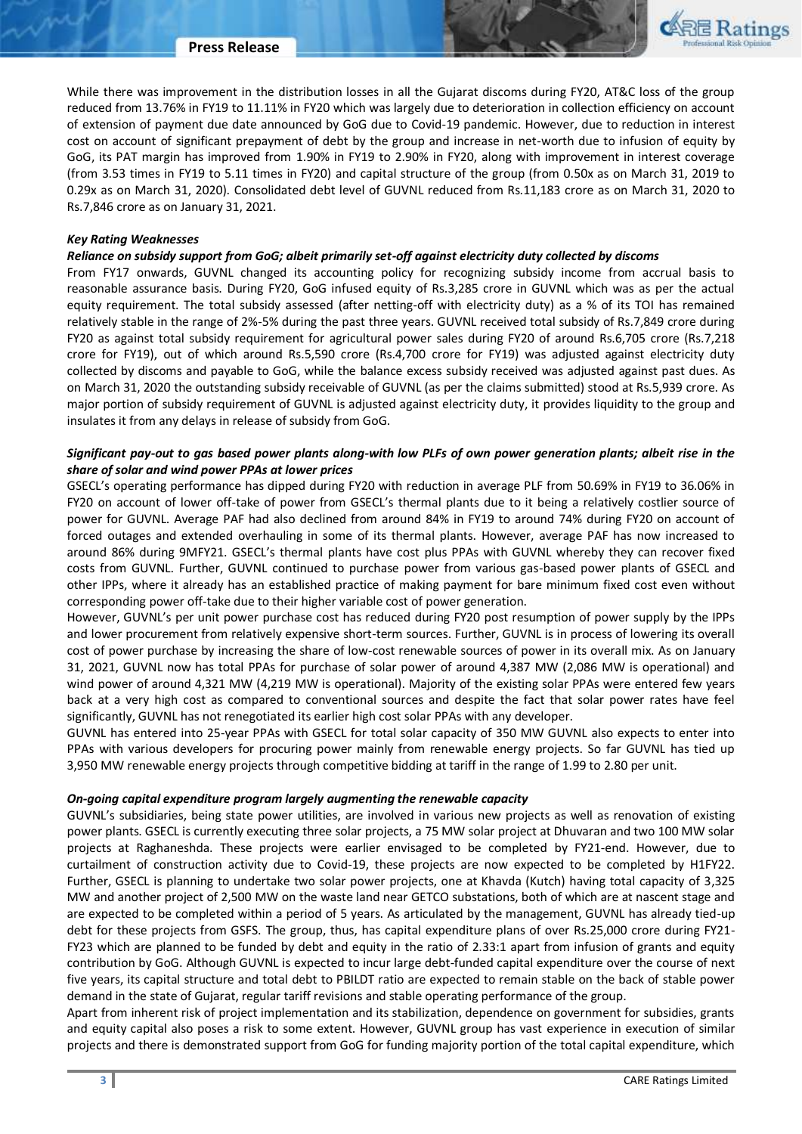

While there was improvement in the distribution losses in all the Gujarat discoms during FY20, AT&C loss of the group reduced from 13.76% in FY19 to 11.11% in FY20 which was largely due to deterioration in collection efficiency on account of extension of payment due date announced by GoG due to Covid-19 pandemic. However, due to reduction in interest cost on account of significant prepayment of debt by the group and increase in net-worth due to infusion of equity by GoG, its PAT margin has improved from 1.90% in FY19 to 2.90% in FY20, along with improvement in interest coverage (from 3.53 times in FY19 to 5.11 times in FY20) and capital structure of the group (from 0.50x as on March 31, 2019 to 0.29x as on March 31, 2020). Consolidated debt level of GUVNL reduced from Rs.11,183 crore as on March 31, 2020 to Rs.7,846 crore as on January 31, 2021.

#### *Key Rating Weaknesses*

#### *Reliance on subsidy support from GoG; albeit primarily set-off against electricity duty collected by discoms*

From FY17 onwards, GUVNL changed its accounting policy for recognizing subsidy income from accrual basis to reasonable assurance basis. During FY20, GoG infused equity of Rs.3,285 crore in GUVNL which was as per the actual equity requirement. The total subsidy assessed (after netting-off with electricity duty) as a % of its TOI has remained relatively stable in the range of 2%-5% during the past three years. GUVNL received total subsidy of Rs.7,849 crore during FY20 as against total subsidy requirement for agricultural power sales during FY20 of around Rs.6,705 crore (Rs.7,218 crore for FY19), out of which around Rs.5,590 crore (Rs.4,700 crore for FY19) was adjusted against electricity duty collected by discoms and payable to GoG, while the balance excess subsidy received was adjusted against past dues. As on March 31, 2020 the outstanding subsidy receivable of GUVNL (as per the claims submitted) stood at Rs.5,939 crore. As major portion of subsidy requirement of GUVNL is adjusted against electricity duty, it provides liquidity to the group and insulates it from any delays in release of subsidy from GoG.

### *Significant pay-out to gas based power plants along-with low PLFs of own power generation plants; albeit rise in the share of solar and wind power PPAs at lower prices*

GSECL's operating performance has dipped during FY20 with reduction in average PLF from 50.69% in FY19 to 36.06% in FY20 on account of lower off-take of power from GSECL's thermal plants due to it being a relatively costlier source of power for GUVNL. Average PAF had also declined from around 84% in FY19 to around 74% during FY20 on account of forced outages and extended overhauling in some of its thermal plants. However, average PAF has now increased to around 86% during 9MFY21. GSECL's thermal plants have cost plus PPAs with GUVNL whereby they can recover fixed costs from GUVNL. Further, GUVNL continued to purchase power from various gas-based power plants of GSECL and other IPPs, where it already has an established practice of making payment for bare minimum fixed cost even without corresponding power off-take due to their higher variable cost of power generation.

However, GUVNL's per unit power purchase cost has reduced during FY20 post resumption of power supply by the IPPs and lower procurement from relatively expensive short-term sources. Further, GUVNL is in process of lowering its overall cost of power purchase by increasing the share of low-cost renewable sources of power in its overall mix. As on January 31, 2021, GUVNL now has total PPAs for purchase of solar power of around 4,387 MW (2,086 MW is operational) and wind power of around 4,321 MW (4,219 MW is operational). Majority of the existing solar PPAs were entered few years back at a very high cost as compared to conventional sources and despite the fact that solar power rates have feel significantly, GUVNL has not renegotiated its earlier high cost solar PPAs with any developer.

GUVNL has entered into 25-year PPAs with GSECL for total solar capacity of 350 MW GUVNL also expects to enter into PPAs with various developers for procuring power mainly from renewable energy projects. So far GUVNL has tied up 3,950 MW renewable energy projects through competitive bidding at tariff in the range of 1.99 to 2.80 per unit.

#### *On-going capital expenditure program largely augmenting the renewable capacity*

GUVNL's subsidiaries, being state power utilities, are involved in various new projects as well as renovation of existing power plants. GSECL is currently executing three solar projects, a 75 MW solar project at Dhuvaran and two 100 MW solar projects at Raghaneshda. These projects were earlier envisaged to be completed by FY21-end. However, due to curtailment of construction activity due to Covid-19, these projects are now expected to be completed by H1FY22. Further, GSECL is planning to undertake two solar power projects, one at Khavda (Kutch) having total capacity of 3,325 MW and another project of 2,500 MW on the waste land near GETCO substations, both of which are at nascent stage and are expected to be completed within a period of 5 years. As articulated by the management, GUVNL has already tied-up debt for these projects from GSFS. The group, thus, has capital expenditure plans of over Rs.25,000 crore during FY21- FY23 which are planned to be funded by debt and equity in the ratio of 2.33:1 apart from infusion of grants and equity contribution by GoG. Although GUVNL is expected to incur large debt-funded capital expenditure over the course of next five years, its capital structure and total debt to PBILDT ratio are expected to remain stable on the back of stable power demand in the state of Gujarat, regular tariff revisions and stable operating performance of the group.

Apart from inherent risk of project implementation and its stabilization, dependence on government for subsidies, grants and equity capital also poses a risk to some extent. However, GUVNL group has vast experience in execution of similar projects and there is demonstrated support from GoG for funding majority portion of the total capital expenditure, which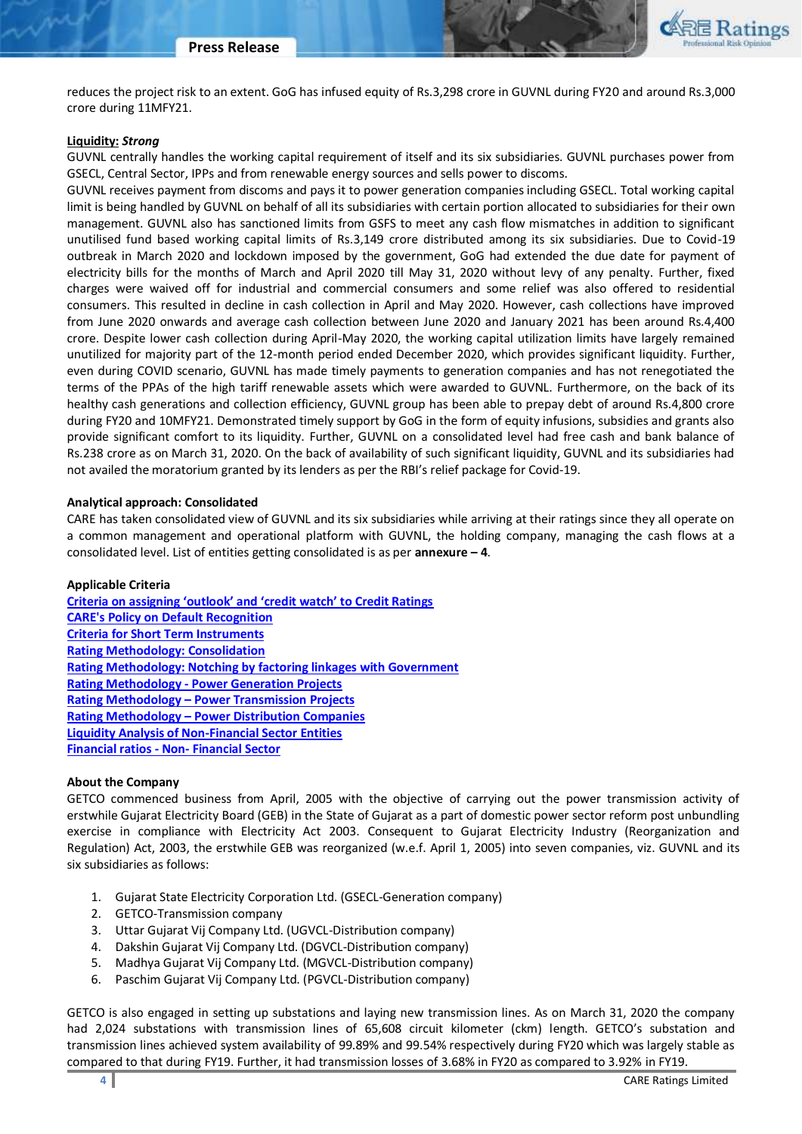

reduces the project risk to an extent. GoG has infused equity of Rs.3,298 crore in GUVNL during FY20 and around Rs.3,000 crore during 11MFY21.

#### **Liquidity:** *Strong*

GUVNL centrally handles the working capital requirement of itself and its six subsidiaries. GUVNL purchases power from GSECL, Central Sector, IPPs and from renewable energy sources and sells power to discoms.

GUVNL receives payment from discoms and pays it to power generation companies including GSECL. Total working capital limit is being handled by GUVNL on behalf of all its subsidiaries with certain portion allocated to subsidiaries for their own management. GUVNL also has sanctioned limits from GSFS to meet any cash flow mismatches in addition to significant unutilised fund based working capital limits of Rs.3,149 crore distributed among its six subsidiaries. Due to Covid-19 outbreak in March 2020 and lockdown imposed by the government, GoG had extended the due date for payment of electricity bills for the months of March and April 2020 till May 31, 2020 without levy of any penalty. Further, fixed charges were waived off for industrial and commercial consumers and some relief was also offered to residential consumers. This resulted in decline in cash collection in April and May 2020. However, cash collections have improved from June 2020 onwards and average cash collection between June 2020 and January 2021 has been around Rs.4,400 crore. Despite lower cash collection during April-May 2020, the working capital utilization limits have largely remained unutilized for majority part of the 12-month period ended December 2020, which provides significant liquidity. Further, even during COVID scenario, GUVNL has made timely payments to generation companies and has not renegotiated the terms of the PPAs of the high tariff renewable assets which were awarded to GUVNL. Furthermore, on the back of its healthy cash generations and collection efficiency, GUVNL group has been able to prepay debt of around Rs.4,800 crore during FY20 and 10MFY21. Demonstrated timely support by GoG in the form of equity infusions, subsidies and grants also provide significant comfort to its liquidity. Further, GUVNL on a consolidated level had free cash and bank balance of Rs.238 crore as on March 31, 2020. On the back of availability of such significant liquidity, GUVNL and its subsidiaries had not availed the moratorium granted by its lenders as per the RBI's relief package for Covid-19.

#### **Analytical approach: Consolidated**

CARE has taken consolidated view of GUVNL and its six subsidiaries while arriving at their ratings since they all operate on a common management and operational platform with GUVNL, the holding company, managing the cash flows at a consolidated level. List of entities getting consolidated is as per **annexure – 4**.

#### **Applicable Criteria**

**[Criteria on assigning 'outlook' and 'credit watch' to Credit Ratings](https://www.careratings.com/pdf/resources/Rating%20Outlook%20and%20credit%20watch%20_30May%202020.pdf)  [CARE's Policy on Default Recognition](https://www.careratings.com/pdf/resources/CARE) [Criteria for Short Term Instruments](https://www.careratings.com/upload/NewsFiles/GetRated/Short%20Term%20Instruments%20_Mar%202020.pdf) [Rating Methodology: Consolidation](https://www.careratings.com/upload/NewsFiles/GetRated/Rating%20Methodology%20-%20Consolidation-Oct%2020.pdf) [Rating Methodology: Notching by factoring linkages with Government](https://www.careratings.com/upload/NewsFiles/GetRated/Rating%20Methodology%20-%20Government%20support_Oct%2020.pdf)  Rating Methodology - [Power Generation Projects](https://www.careratings.com/upload/NewsFiles/GetRated/Rating%20Methodology%20-%20Power%20Generation%20Projects_Sept2020.pdf) Rating Methodology – [Power Transmission Projects](https://www.careratings.com/upload/NewsFiles/GetRated/Rating%20Methodology_Power%20Transmission-Sept2020.pdf) Rating Methodology – [Power Distribution Companies](https://www.careratings.com/upload/NewsFiles/GetRated/Rating%20Methodology%20-%20Power%20Discoms%20-%20Feb2021.pdf) [Liquidity Analysis of Non-Financial Sector Entities](https://www.careratings.com/pdf/resources/Liquidity%20Analysis%20of%20Non-Financial%20Sector%20entities_May2020.pdf) [Financial ratios -](https://www.careratings.com/pdf/resources/Financial%20ratios%20-%20Non%20Financial%20Sector-Mar%2021.pdf) Non- Financial Sector**

#### **About the Company**

GETCO commenced business from April, 2005 with the objective of carrying out the power transmission activity of erstwhile Gujarat Electricity Board (GEB) in the State of Gujarat as a part of domestic power sector reform post unbundling exercise in compliance with Electricity Act 2003. Consequent to Gujarat Electricity Industry (Reorganization and Regulation) Act, 2003, the erstwhile GEB was reorganized (w.e.f. April 1, 2005) into seven companies, viz. GUVNL and its six subsidiaries as follows:

- 1. Gujarat State Electricity Corporation Ltd. (GSECL-Generation company)
- 2. GETCO-Transmission company
- 3. Uttar Gujarat Vij Company Ltd. (UGVCL-Distribution company)
- 4. Dakshin Gujarat Vij Company Ltd. (DGVCL-Distribution company)
- 5. Madhya Gujarat Vij Company Ltd. (MGVCL-Distribution company)
- 6. Paschim Gujarat Vij Company Ltd. (PGVCL-Distribution company)

GETCO is also engaged in setting up substations and laying new transmission lines. As on March 31, 2020 the company had 2,024 substations with transmission lines of 65,608 circuit kilometer (ckm) length. GETCO's substation and transmission lines achieved system availability of 99.89% and 99.54% respectively during FY20 which was largely stable as compared to that during FY19. Further, it had transmission losses of 3.68% in FY20 as compared to 3.92% in FY19.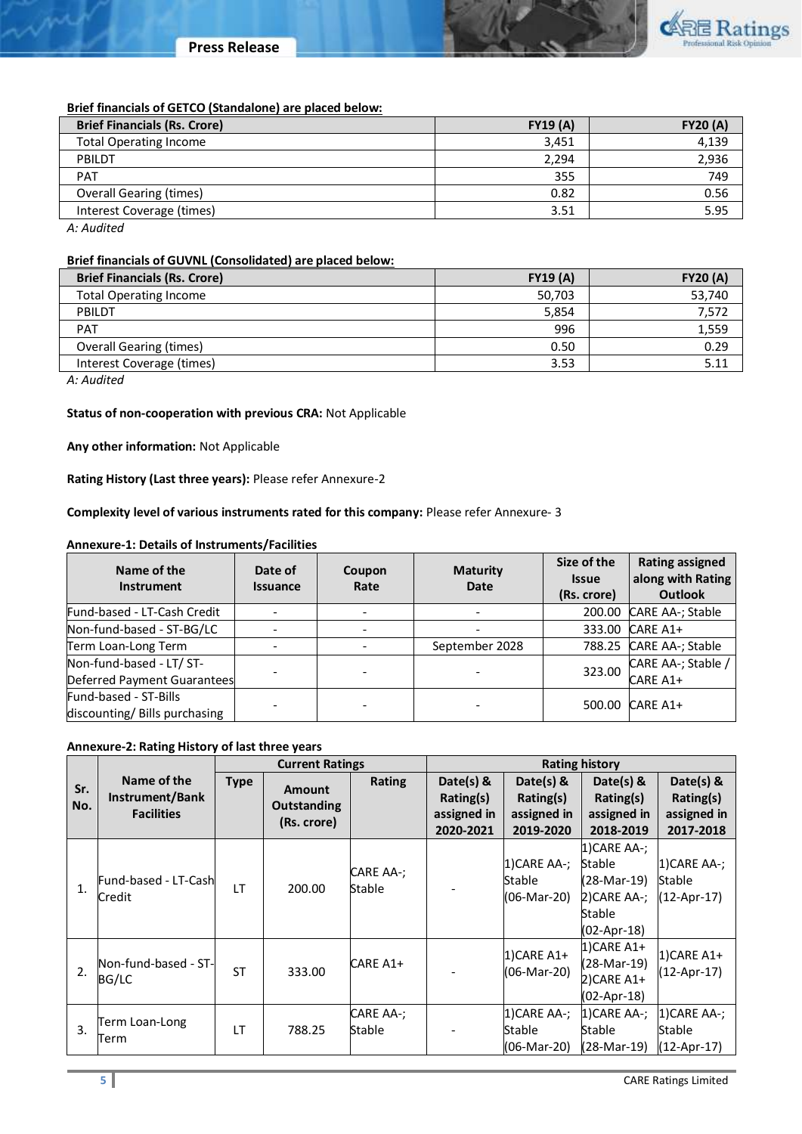# **Brief financials of GETCO (Standalone) are placed below:**

| <b>Brief Financials (Rs. Crore)</b>                                                                             | <b>FY19 (A)</b> | <b>FY20 (A)</b> |
|-----------------------------------------------------------------------------------------------------------------|-----------------|-----------------|
| <b>Total Operating Income</b>                                                                                   | 3,451           | 4,139           |
| PBILDT                                                                                                          | 2.294           | 2,936           |
| PAT                                                                                                             | 355             | 749             |
| <b>Overall Gearing (times)</b>                                                                                  | 0.82            | 0.56            |
| Interest Coverage (times)                                                                                       | 3.51            | 5.95            |
| the contract of the contract of the contract of the contract of the contract of the contract of the contract of |                 |                 |

*A: Audited*

### **Brief financials of GUVNL (Consolidated) are placed below:**

| <b>FY19 (A)</b> | <b>FY20 (A)</b> |
|-----------------|-----------------|
| 50,703          | 53,740          |
| 5.854           | 7,572           |
| 996             | 1,559           |
| 0.50            | 0.29            |
| 3.53            | 5.11            |
|                 |                 |

*A: Audited*

# **Status of non-cooperation with previous CRA:** Not Applicable

**Any other information:** Not Applicable

**Rating History (Last three years):** Please refer Annexure-2

# **Complexity level of various instruments rated for this company:** Please refer Annexure- 3

### **Annexure-1: Details of Instruments/Facilities**

| Name of the<br><b>Instrument</b>                        | Date of<br><b>Issuance</b> | Coupon<br>Rate | <b>Maturity</b><br>Date | Size of the<br><b>Issue</b><br>(Rs. crore) | <b>Rating assigned</b><br>along with Rating<br><b>Outlook</b> |
|---------------------------------------------------------|----------------------------|----------------|-------------------------|--------------------------------------------|---------------------------------------------------------------|
| Fund-based - LT-Cash Credit                             |                            |                |                         | 200.00                                     | CARE AA-; Stable                                              |
| Non-fund-based - ST-BG/LC                               |                            |                |                         | 333.00                                     | CARE A1+                                                      |
| Term Loan-Long Term                                     |                            |                | September 2028          | 788.25                                     | CARE AA-; Stable                                              |
| Non-fund-based - LT/ ST-<br>Deferred Payment Guarantees |                            |                |                         | 323.00                                     | CARE AA-; Stable /<br>CARE A1+                                |
| Fund-based - ST-Bills<br>discounting/ Bills purchasing  |                            |                |                         | 500.00                                     | CARE A1+                                                      |

# **Annexure-2: Rating History of last three years**

|        |                       | <b>Current Ratings</b> |                    |               | <b>Rating history</b> |               |               |                |
|--------|-----------------------|------------------------|--------------------|---------------|-----------------------|---------------|---------------|----------------|
| Sr.    | Name of the           | <b>Type</b>            | Amount             | <b>Rating</b> | Date(s) $8$           | Date(s) $\&$  | Date(s) &     | Date(s) &      |
| No.    | Instrument/Bank       |                        | <b>Outstanding</b> |               | Rating(s)             | Rating(s)     | Rating(s)     | Rating(s)      |
|        | <b>Facilities</b>     |                        | (Rs. crore)        |               | assigned in           | assigned in   | assigned in   | assigned in    |
|        |                       |                        |                    |               | 2020-2021             | 2019-2020     | 2018-2019     | 2017-2018      |
|        |                       |                        |                    |               |                       |               | 1) CARE AA-;  |                |
|        |                       |                        |                    | CARE AA-;     |                       | 1) CARE AA-;  | Stable        | 1) CARE AA-;   |
| 1.     | Fund-based - LT-Cashl | IT                     | 200.00             | Stable        |                       | Stable        | (28-Mar-19)   | Stable         |
| Credit |                       |                        |                    |               |                       | (06-Mar-20)   | 2)CARE AA-;   | $(12-Apr-17)$  |
|        |                       |                        |                    |               |                       |               | Stable        |                |
|        |                       |                        |                    |               |                       |               | (02-Apr-18)   |                |
|        |                       |                        |                    |               |                       | $1)$ CARE A1+ | 1)CARE A1+    | $1)$ CARE A1+  |
| 2.     | Non-fund-based - ST-  | <b>ST</b>              | 333.00             | CARE A1+      |                       | (06-Mar-20)   | (28-Mar-19)   | $(12-Apr-17)$  |
|        | BG/LC                 |                        |                    |               |                       |               | 2)CARE A1+    |                |
|        |                       |                        |                    |               |                       |               | (02-Apr-18)   |                |
|        | Term Loan-Long        |                        |                    | CARE AA-;     |                       | 1) CARE AA-;  | $1$ CARE AA-; | $1)$ CARE AA-; |
| 3.     | Term                  | IT                     | 788.25             | Stable        |                       | Stable        | Stable        | Stable         |
|        |                       |                        |                    |               |                       | (06-Mar-20)   | (28-Mar-19)   | $(12-Apr-17)$  |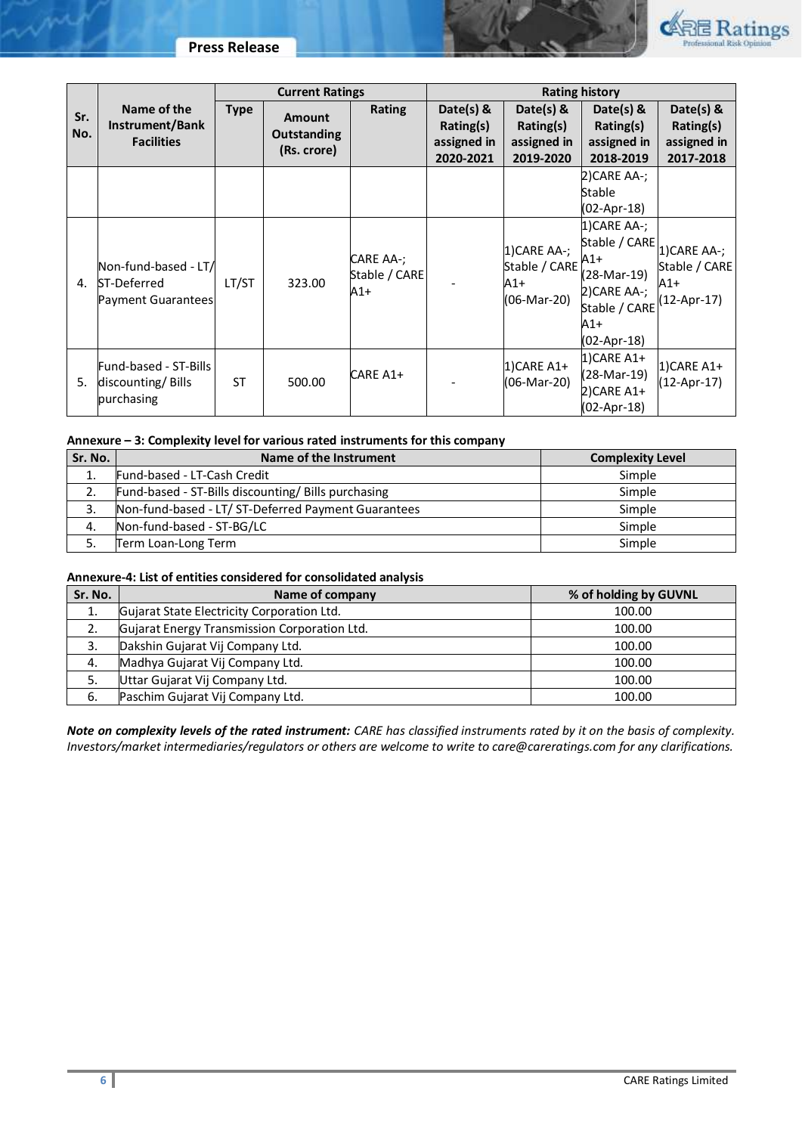

|     |                                     | <b>Current Ratings</b> |                    | <b>Rating history</b>               |              |                                                     |                           |               |
|-----|-------------------------------------|------------------------|--------------------|-------------------------------------|--------------|-----------------------------------------------------|---------------------------|---------------|
| Sr. | Name of the                         | <b>Type</b>            | <b>Amount</b>      | <b>Rating</b>                       | Date(s) $\&$ | Date(s) $\&$                                        | Date(s) $8$               | Date(s) $\&$  |
| No. | Instrument/Bank                     |                        | <b>Outstanding</b> |                                     | Rating(s)    | Rating(s)                                           | Rating(s)                 | Rating(s)     |
|     | <b>Facilities</b>                   |                        | (Rs. crore)        |                                     | assigned in  | assigned in                                         | assigned in               | assigned in   |
|     |                                     |                        |                    |                                     | 2020-2021    | 2019-2020                                           | 2018-2019                 | 2017-2018     |
|     |                                     |                        |                    |                                     |              |                                                     | 2)CARE AA-;               |               |
|     |                                     |                        |                    |                                     |              |                                                     | Stable                    |               |
|     |                                     |                        |                    |                                     |              |                                                     | (02-Apr-18)               |               |
|     |                                     |                        |                    |                                     |              |                                                     | 1) CARE AA-;              |               |
| 4.  | Non-fund-based - LT/<br>ST-Deferred | LT/ST                  | 323.00             | CARE AA-;<br>Stable / CARE<br>$A1+$ |              | 1) CARE AA-;<br>Stable / CARE<br>A1+<br>(06-Mar-20) | Stable / CARE 1)CARE AA-; |               |
|     |                                     |                        |                    |                                     |              |                                                     | $A1+$                     | Stable / CARE |
|     |                                     |                        |                    |                                     |              |                                                     | (28-Mar-19)               | $A1+$         |
|     | Payment Guarantees                  |                        |                    |                                     |              |                                                     | 2) CARE AA-;              | $12-Apr-17$   |
|     |                                     |                        |                    |                                     |              |                                                     | Stable / CARE             |               |
|     |                                     |                        |                    |                                     |              |                                                     | A1+                       |               |
|     |                                     |                        |                    |                                     |              |                                                     | (02-Apr-18)               |               |
|     | Fund-based - ST-Bills               |                        |                    |                                     |              | 1)CARE A1+                                          | 1) CARE A1+               | $1)$ CARE A1+ |
| 5.  | discounting/Bills<br>purchasing     | <b>ST</b>              | 500.00             | CARE A1+                            |              | (06-Mar-20)                                         | (28-Mar-19)               | $(12-Apr-17)$ |
|     |                                     |                        |                    |                                     |              |                                                     | 2)CARE A1+                |               |
|     |                                     |                        |                    |                                     |              |                                                     | (02-Apr-18)               |               |

# **Annexure – 3: Complexity level for various rated instruments for this company**

| Sr. No. | Name of the Instrument                              | <b>Complexity Level</b> |
|---------|-----------------------------------------------------|-------------------------|
| ⊥.      | Fund-based - LT-Cash Credit                         | Simple                  |
| 2.      | Fund-based - ST-Bills discounting/ Bills purchasing | Simple                  |
| 3.      | Non-fund-based - LT/ ST-Deferred Payment Guarantees | Simple                  |
| 4.      | Non-fund-based - ST-BG/LC                           | Simple                  |
|         | Term Loan-Long Term                                 | Simple                  |

# **Annexure-4: List of entities considered for consolidated analysis**

| Sr. No. | Name of company                              | % of holding by GUVNL |
|---------|----------------------------------------------|-----------------------|
| 1.      | Gujarat State Electricity Corporation Ltd.   | 100.00                |
|         | Gujarat Energy Transmission Corporation Ltd. | 100.00                |
|         | Dakshin Gujarat Vij Company Ltd.             | 100.00                |
| 4.      | Madhya Gujarat Vij Company Ltd.              | 100.00                |
|         | Uttar Gujarat Vij Company Ltd.               | 100.00                |
| -6.     | Paschim Gujarat Vij Company Ltd.             | 100.00                |

*Note on complexity levels of the rated instrument: CARE has classified instruments rated by it on the basis of complexity. Investors/market intermediaries/regulators or others are welcome to write to care@careratings.com for any clarifications.*